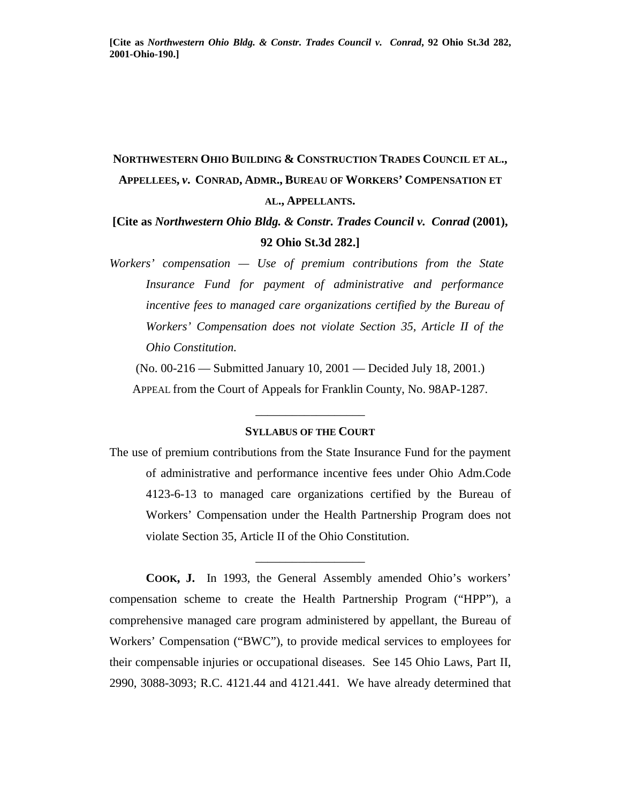# **NORTHWESTERN OHIO BUILDING & CONSTRUCTION TRADES COUNCIL ET AL., APPELLEES,** *v***. CONRAD, ADMR., BUREAU OF WORKERS' COMPENSATION ET AL., APPELLANTS.**

**[Cite as** *Northwestern Ohio Bldg. & Constr. Trades Council v. Conrad* **(2001), 92 Ohio St.3d 282.]**

*Workers' compensation — Use of premium contributions from the State Insurance Fund for payment of administrative and performance incentive fees to managed care organizations certified by the Bureau of Workers' Compensation does not violate Section 35, Article II of the Ohio Constitution.* 

(No. 00-216 — Submitted January 10, 2001 — Decided July 18, 2001.) APPEAL from the Court of Appeals for Franklin County, No. 98AP-1287.

### **SYLLABUS OF THE COURT**

\_\_\_\_\_\_\_\_\_\_\_\_\_\_\_\_\_\_

The use of premium contributions from the State Insurance Fund for the payment of administrative and performance incentive fees under Ohio Adm.Code 4123-6-13 to managed care organizations certified by the Bureau of Workers' Compensation under the Health Partnership Program does not violate Section 35, Article II of the Ohio Constitution.

\_\_\_\_\_\_\_\_\_\_\_\_\_\_\_\_\_\_

 **COOK, J.** In 1993, the General Assembly amended Ohio's workers' compensation scheme to create the Health Partnership Program ("HPP"), a comprehensive managed care program administered by appellant, the Bureau of Workers' Compensation ("BWC"), to provide medical services to employees for their compensable injuries or occupational diseases. See 145 Ohio Laws, Part II, 2990, 3088-3093; R.C. 4121.44 and 4121.441. We have already determined that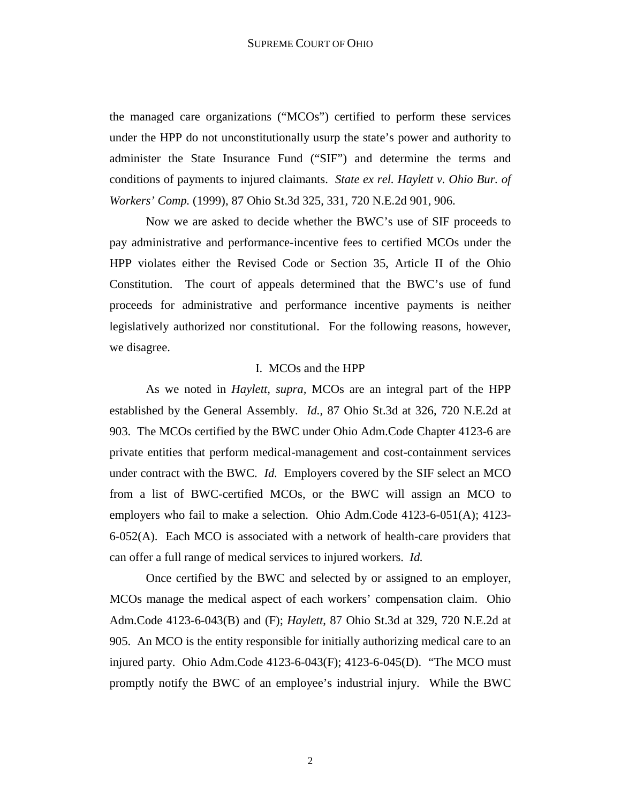the managed care organizations ("MCOs") certified to perform these services under the HPP do not unconstitutionally usurp the state's power and authority to administer the State Insurance Fund ("SIF") and determine the terms and conditions of payments to injured claimants. *State ex rel. Haylett v. Ohio Bur. of Workers' Comp.* (1999), 87 Ohio St.3d 325, 331, 720 N.E.2d 901, 906.

 Now we are asked to decide whether the BWC's use of SIF proceeds to pay administrative and performance-incentive fees to certified MCOs under the HPP violates either the Revised Code or Section 35, Article II of the Ohio Constitution. The court of appeals determined that the BWC's use of fund proceeds for administrative and performance incentive payments is neither legislatively authorized nor constitutional. For the following reasons, however, we disagree.

### I. MCOs and the HPP

 As we noted in *Haylett, supra,* MCOs are an integral part of the HPP established by the General Assembly. *Id.*, 87 Ohio St.3d at 326, 720 N.E.2d at 903. The MCOs certified by the BWC under Ohio Adm.Code Chapter 4123-6 are private entities that perform medical-management and cost-containment services under contract with the BWC. *Id.* Employers covered by the SIF select an MCO from a list of BWC-certified MCOs, or the BWC will assign an MCO to employers who fail to make a selection. Ohio Adm.Code 4123-6-051(A); 4123- 6-052(A). Each MCO is associated with a network of health-care providers that can offer a full range of medical services to injured workers. *Id.* 

 Once certified by the BWC and selected by or assigned to an employer, MCOs manage the medical aspect of each workers' compensation claim. Ohio Adm.Code 4123-6-043(B) and (F); *Haylett*, 87 Ohio St.3d at 329, 720 N.E.2d at 905. An MCO is the entity responsible for initially authorizing medical care to an injured party. Ohio Adm.Code 4123-6-043(F); 4123-6-045(D). "The MCO must promptly notify the BWC of an employee's industrial injury. While the BWC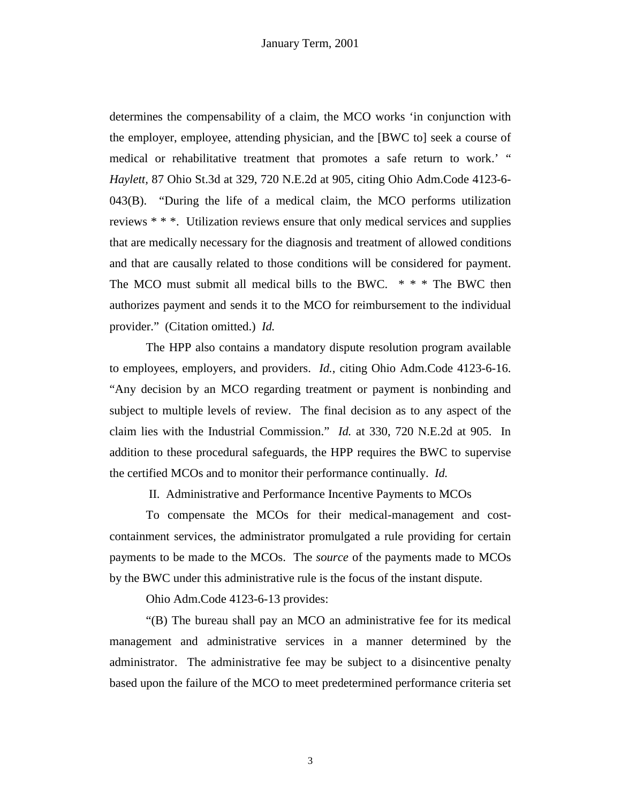determines the compensability of a claim, the MCO works 'in conjunction with the employer, employee, attending physician, and the [BWC to] seek a course of medical or rehabilitative treatment that promotes a safe return to work.' " *Haylett,* 87 Ohio St.3d at 329, 720 N.E.2d at 905, citing Ohio Adm.Code 4123-6- 043(B). "During the life of a medical claim, the MCO performs utilization reviews \* \* \*. Utilization reviews ensure that only medical services and supplies that are medically necessary for the diagnosis and treatment of allowed conditions and that are causally related to those conditions will be considered for payment. The MCO must submit all medical bills to the BWC. \* \* \* The BWC then authorizes payment and sends it to the MCO for reimbursement to the individual provider." (Citation omitted.) *Id.* 

 The HPP also contains a mandatory dispute resolution program available to employees, employers, and providers. *Id.*, citing Ohio Adm.Code 4123-6-16. "Any decision by an MCO regarding treatment or payment is nonbinding and subject to multiple levels of review. The final decision as to any aspect of the claim lies with the Industrial Commission." *Id.* at 330, 720 N.E.2d at 905. In addition to these procedural safeguards, the HPP requires the BWC to supervise the certified MCOs and to monitor their performance continually. *Id.* 

II. Administrative and Performance Incentive Payments to MCOs

 To compensate the MCOs for their medical-management and costcontainment services, the administrator promulgated a rule providing for certain payments to be made to the MCOs. The *source* of the payments made to MCOs by the BWC under this administrative rule is the focus of the instant dispute.

Ohio Adm.Code 4123-6-13 provides:

 "(B) The bureau shall pay an MCO an administrative fee for its medical management and administrative services in a manner determined by the administrator. The administrative fee may be subject to a disincentive penalty based upon the failure of the MCO to meet predetermined performance criteria set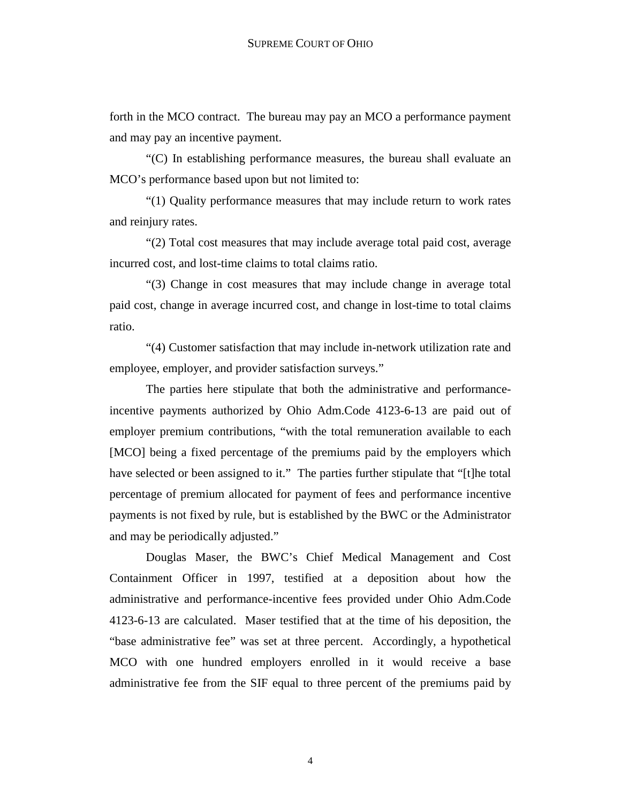forth in the MCO contract. The bureau may pay an MCO a performance payment and may pay an incentive payment.

 "(C) In establishing performance measures, the bureau shall evaluate an MCO's performance based upon but not limited to:

 "(1) Quality performance measures that may include return to work rates and reinjury rates.

 "(2) Total cost measures that may include average total paid cost, average incurred cost, and lost-time claims to total claims ratio.

 "(3) Change in cost measures that may include change in average total paid cost, change in average incurred cost, and change in lost-time to total claims ratio.

 "(4) Customer satisfaction that may include in-network utilization rate and employee, employer, and provider satisfaction surveys."

 The parties here stipulate that both the administrative and performanceincentive payments authorized by Ohio Adm.Code 4123-6-13 are paid out of employer premium contributions, "with the total remuneration available to each [MCO] being a fixed percentage of the premiums paid by the employers which have selected or been assigned to it." The parties further stipulate that "[t]he total percentage of premium allocated for payment of fees and performance incentive payments is not fixed by rule, but is established by the BWC or the Administrator and may be periodically adjusted."

 Douglas Maser, the BWC's Chief Medical Management and Cost Containment Officer in 1997, testified at a deposition about how the administrative and performance-incentive fees provided under Ohio Adm.Code 4123-6-13 are calculated. Maser testified that at the time of his deposition, the "base administrative fee" was set at three percent. Accordingly, a hypothetical MCO with one hundred employers enrolled in it would receive a base administrative fee from the SIF equal to three percent of the premiums paid by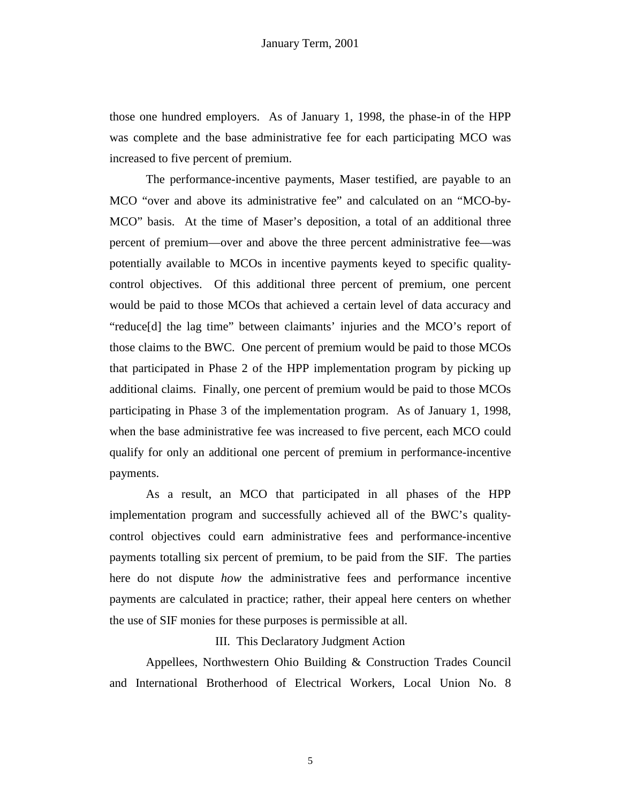those one hundred employers. As of January 1, 1998, the phase-in of the HPP was complete and the base administrative fee for each participating MCO was increased to five percent of premium.

 The performance-incentive payments, Maser testified, are payable to an MCO "over and above its administrative fee" and calculated on an "MCO-by-MCO" basis. At the time of Maser's deposition, a total of an additional three percent of premium—over and above the three percent administrative fee—was potentially available to MCOs in incentive payments keyed to specific qualitycontrol objectives. Of this additional three percent of premium, one percent would be paid to those MCOs that achieved a certain level of data accuracy and "reduce[d] the lag time" between claimants' injuries and the MCO's report of those claims to the BWC. One percent of premium would be paid to those MCOs that participated in Phase 2 of the HPP implementation program by picking up additional claims. Finally, one percent of premium would be paid to those MCOs participating in Phase 3 of the implementation program. As of January 1, 1998, when the base administrative fee was increased to five percent, each MCO could qualify for only an additional one percent of premium in performance-incentive payments.

 As a result, an MCO that participated in all phases of the HPP implementation program and successfully achieved all of the BWC's qualitycontrol objectives could earn administrative fees and performance-incentive payments totalling six percent of premium, to be paid from the SIF. The parties here do not dispute *how* the administrative fees and performance incentive payments are calculated in practice; rather, their appeal here centers on whether the use of SIF monies for these purposes is permissible at all.

## III. This Declaratory Judgment Action

 Appellees, Northwestern Ohio Building & Construction Trades Council and International Brotherhood of Electrical Workers, Local Union No. 8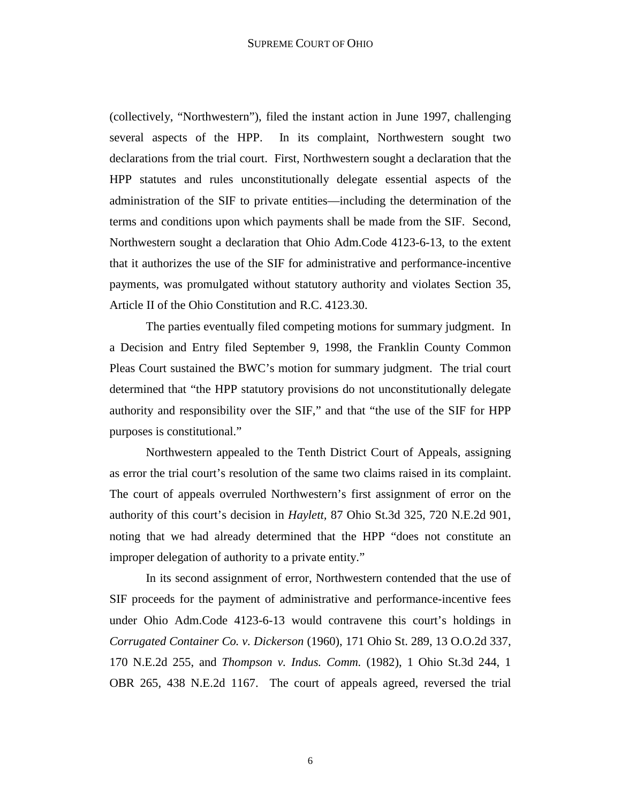(collectively, "Northwestern"), filed the instant action in June 1997, challenging several aspects of the HPP. In its complaint, Northwestern sought two declarations from the trial court. First, Northwestern sought a declaration that the HPP statutes and rules unconstitutionally delegate essential aspects of the administration of the SIF to private entities—including the determination of the terms and conditions upon which payments shall be made from the SIF. Second, Northwestern sought a declaration that Ohio Adm.Code 4123-6-13, to the extent that it authorizes the use of the SIF for administrative and performance-incentive payments, was promulgated without statutory authority and violates Section 35, Article II of the Ohio Constitution and R.C. 4123.30.

 The parties eventually filed competing motions for summary judgment. In a Decision and Entry filed September 9, 1998, the Franklin County Common Pleas Court sustained the BWC's motion for summary judgment. The trial court determined that "the HPP statutory provisions do not unconstitutionally delegate authority and responsibility over the SIF," and that "the use of the SIF for HPP purposes is constitutional."

 Northwestern appealed to the Tenth District Court of Appeals, assigning as error the trial court's resolution of the same two claims raised in its complaint. The court of appeals overruled Northwestern's first assignment of error on the authority of this court's decision in *Haylett,* 87 Ohio St.3d 325, 720 N.E.2d 901, noting that we had already determined that the HPP "does not constitute an improper delegation of authority to a private entity."

 In its second assignment of error, Northwestern contended that the use of SIF proceeds for the payment of administrative and performance-incentive fees under Ohio Adm.Code 4123-6-13 would contravene this court's holdings in *Corrugated Container Co. v. Dickerson* (1960), 171 Ohio St. 289, 13 O.O.2d 337, 170 N.E.2d 255, and *Thompson v. Indus. Comm.* (1982), 1 Ohio St.3d 244, 1 OBR 265, 438 N.E.2d 1167. The court of appeals agreed, reversed the trial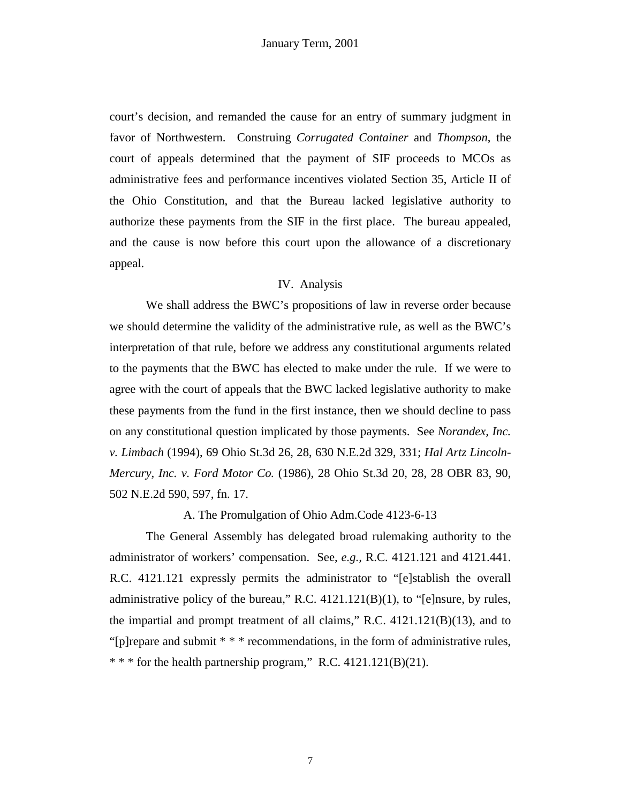court's decision, and remanded the cause for an entry of summary judgment in favor of Northwestern. Construing *Corrugated Container* and *Thompson*, the court of appeals determined that the payment of SIF proceeds to MCOs as administrative fees and performance incentives violated Section 35, Article II of the Ohio Constitution, and that the Bureau lacked legislative authority to authorize these payments from the SIF in the first place. The bureau appealed, and the cause is now before this court upon the allowance of a discretionary appeal.

## IV. Analysis

 We shall address the BWC's propositions of law in reverse order because we should determine the validity of the administrative rule, as well as the BWC's interpretation of that rule, before we address any constitutional arguments related to the payments that the BWC has elected to make under the rule. If we were to agree with the court of appeals that the BWC lacked legislative authority to make these payments from the fund in the first instance, then we should decline to pass on any constitutional question implicated by those payments. See *Norandex, Inc. v. Limbach* (1994), 69 Ohio St.3d 26, 28, 630 N.E.2d 329, 331; *Hal Artz Lincoln-Mercury, Inc. v. Ford Motor Co.* (1986), 28 Ohio St.3d 20, 28, 28 OBR 83, 90, 502 N.E.2d 590, 597, fn. 17.

A. The Promulgation of Ohio Adm.Code 4123-6-13

 The General Assembly has delegated broad rulemaking authority to the administrator of workers' compensation. See, *e.g.,* R.C. 4121.121 and 4121.441. R.C. 4121.121 expressly permits the administrator to "[e]stablish the overall administrative policy of the bureau," R.C.  $4121.121(B)(1)$ , to "[e]nsure, by rules, the impartial and prompt treatment of all claims," R.C. 4121.121(B)(13), and to "[p]repare and submit \* \* \* recommendations, in the form of administrative rules,  $***$  for the health partnership program," R.C. 4121.121(B)(21).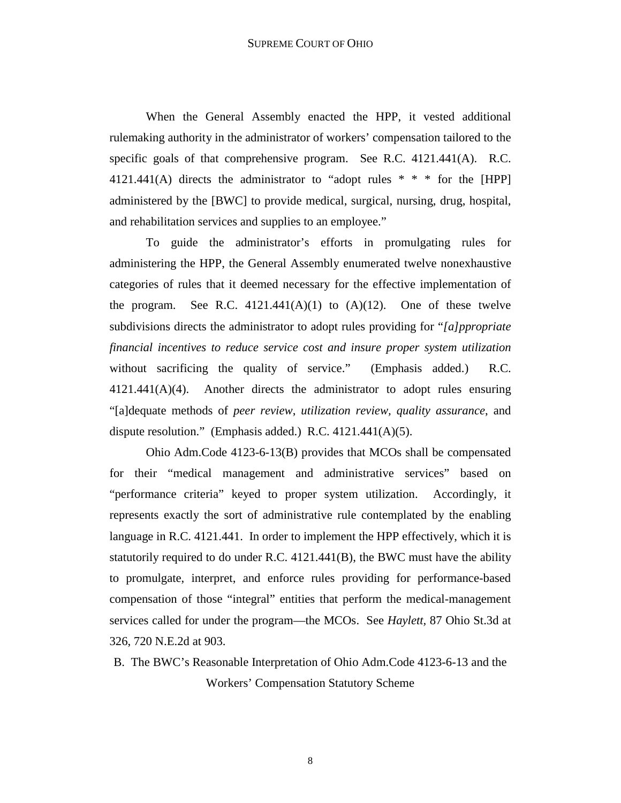When the General Assembly enacted the HPP, it vested additional rulemaking authority in the administrator of workers' compensation tailored to the specific goals of that comprehensive program. See R.C. 4121.441(A). R.C. 4121.441(A) directs the administrator to "adopt rules  $* * *$  for the [HPP] administered by the [BWC] to provide medical, surgical, nursing, drug, hospital, and rehabilitation services and supplies to an employee."

 To guide the administrator's efforts in promulgating rules for administering the HPP, the General Assembly enumerated twelve nonexhaustive categories of rules that it deemed necessary for the effective implementation of the program. See R.C.  $4121.441(A)(1)$  to  $(A)(12)$ . One of these twelve subdivisions directs the administrator to adopt rules providing for "*[a]ppropriate financial incentives to reduce service cost and insure proper system utilization* without sacrificing the quality of service." (Emphasis added.) R.C. 4121.441(A)(4). Another directs the administrator to adopt rules ensuring "[a]dequate methods of *peer review*, *utilization review, quality assurance*, and dispute resolution." (Emphasis added.) R.C. 4121.441(A)(5).

 Ohio Adm.Code 4123-6-13(B) provides that MCOs shall be compensated for their "medical management and administrative services" based on "performance criteria" keyed to proper system utilization. Accordingly, it represents exactly the sort of administrative rule contemplated by the enabling language in R.C. 4121.441. In order to implement the HPP effectively, which it is statutorily required to do under R.C. 4121.441(B), the BWC must have the ability to promulgate, interpret, and enforce rules providing for performance-based compensation of those "integral" entities that perform the medical-management services called for under the program—the MCOs. See *Haylett,* 87 Ohio St.3d at 326, 720 N.E.2d at 903.

B. The BWC's Reasonable Interpretation of Ohio Adm.Code 4123-6-13 and the Workers' Compensation Statutory Scheme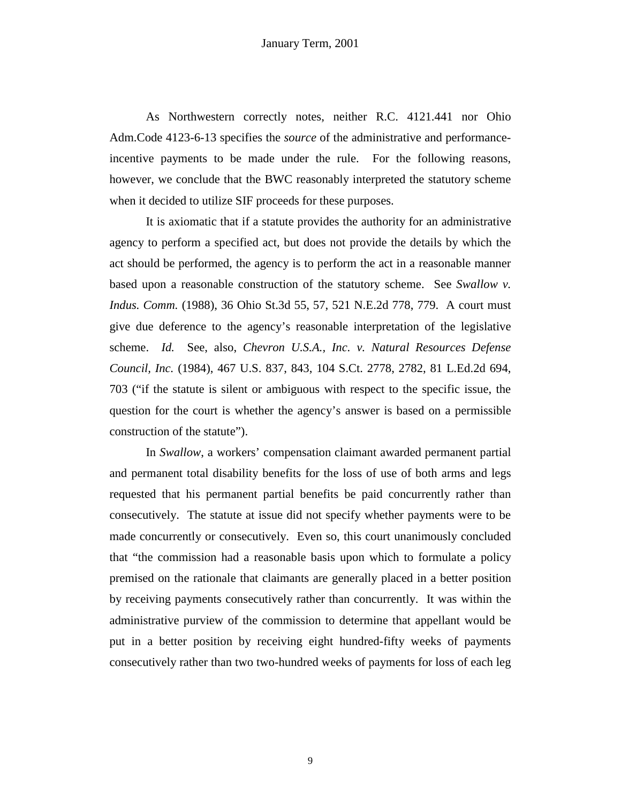As Northwestern correctly notes, neither R.C. 4121.441 nor Ohio Adm.Code 4123-6-13 specifies the *source* of the administrative and performanceincentive payments to be made under the rule. For the following reasons, however, we conclude that the BWC reasonably interpreted the statutory scheme when it decided to utilize SIF proceeds for these purposes.

 It is axiomatic that if a statute provides the authority for an administrative agency to perform a specified act, but does not provide the details by which the act should be performed, the agency is to perform the act in a reasonable manner based upon a reasonable construction of the statutory scheme. See *Swallow v. Indus. Comm.* (1988), 36 Ohio St.3d 55, 57, 521 N.E.2d 778, 779. A court must give due deference to the agency's reasonable interpretation of the legislative scheme. *Id.* See, also, *Chevron U.S.A., Inc. v. Natural Resources Defense Council, Inc.* (1984), 467 U.S. 837, 843, 104 S.Ct. 2778, 2782, 81 L.Ed.2d 694, 703 ("if the statute is silent or ambiguous with respect to the specific issue, the question for the court is whether the agency's answer is based on a permissible construction of the statute").

 In *Swallow*, a workers' compensation claimant awarded permanent partial and permanent total disability benefits for the loss of use of both arms and legs requested that his permanent partial benefits be paid concurrently rather than consecutively. The statute at issue did not specify whether payments were to be made concurrently or consecutively. Even so, this court unanimously concluded that "the commission had a reasonable basis upon which to formulate a policy premised on the rationale that claimants are generally placed in a better position by receiving payments consecutively rather than concurrently. It was within the administrative purview of the commission to determine that appellant would be put in a better position by receiving eight hundred-fifty weeks of payments consecutively rather than two two-hundred weeks of payments for loss of each leg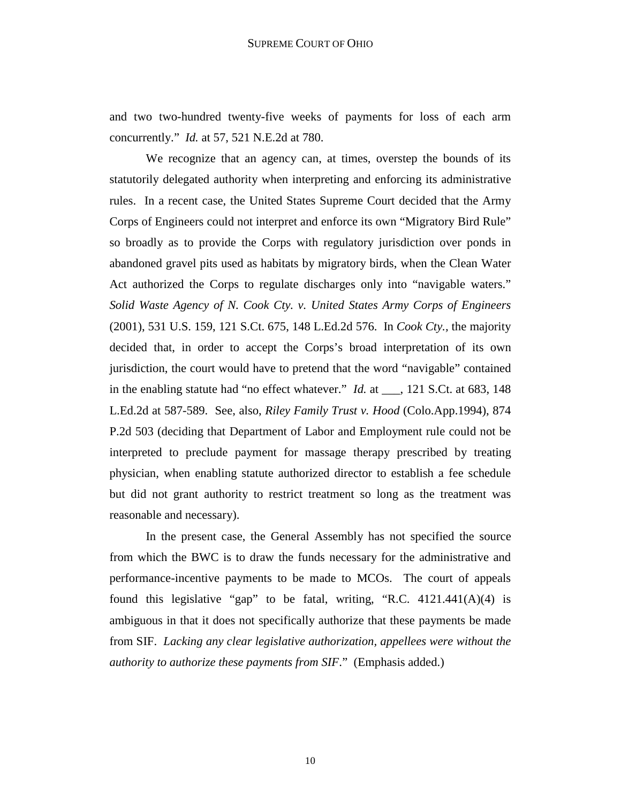and two two-hundred twenty-five weeks of payments for loss of each arm concurrently." *Id.* at 57, 521 N.E.2d at 780.

 We recognize that an agency can, at times, overstep the bounds of its statutorily delegated authority when interpreting and enforcing its administrative rules. In a recent case, the United States Supreme Court decided that the Army Corps of Engineers could not interpret and enforce its own "Migratory Bird Rule" so broadly as to provide the Corps with regulatory jurisdiction over ponds in abandoned gravel pits used as habitats by migratory birds, when the Clean Water Act authorized the Corps to regulate discharges only into "navigable waters." *Solid Waste Agency of N. Cook Cty. v. United States Army Corps of Engineers* (2001), 531 U.S. 159, 121 S.Ct. 675, 148 L.Ed.2d 576. In *Cook Cty.,* the majority decided that, in order to accept the Corps's broad interpretation of its own jurisdiction, the court would have to pretend that the word "navigable" contained in the enabling statute had "no effect whatever." *Id.* at \_\_\_, 121 S.Ct. at 683, 148 L.Ed.2d at 587-589. See, also, *Riley Family Trust v. Hood* (Colo.App.1994), 874 P.2d 503 (deciding that Department of Labor and Employment rule could not be interpreted to preclude payment for massage therapy prescribed by treating physician, when enabling statute authorized director to establish a fee schedule but did not grant authority to restrict treatment so long as the treatment was reasonable and necessary).

 In the present case, the General Assembly has not specified the source from which the BWC is to draw the funds necessary for the administrative and performance-incentive payments to be made to MCOs. The court of appeals found this legislative "gap" to be fatal, writing, "R.C. 4121.441(A)(4) is ambiguous in that it does not specifically authorize that these payments be made from SIF. *Lacking any clear legislative authorization, appellees were without the authority to authorize these payments from SIF*." (Emphasis added.)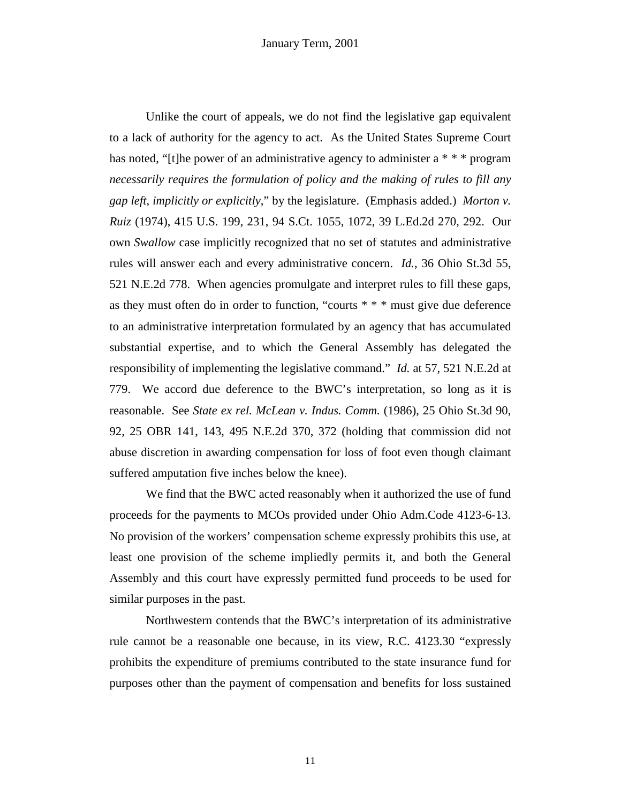Unlike the court of appeals, we do not find the legislative gap equivalent to a lack of authority for the agency to act. As the United States Supreme Court has noted, "[t]he power of an administrative agency to administer a \* \* \* program *necessarily requires the formulation of policy and the making of rules to fill any gap left, implicitly or explicitly*," by the legislature. (Emphasis added.) *Morton v. Ruiz* (1974), 415 U.S. 199, 231, 94 S.Ct. 1055, 1072, 39 L.Ed.2d 270, 292. Our own *Swallow* case implicitly recognized that no set of statutes and administrative rules will answer each and every administrative concern. *Id.*, 36 Ohio St.3d 55, 521 N.E.2d 778. When agencies promulgate and interpret rules to fill these gaps, as they must often do in order to function, "courts \* \* \* must give due deference to an administrative interpretation formulated by an agency that has accumulated substantial expertise, and to which the General Assembly has delegated the responsibility of implementing the legislative command." *Id.* at 57, 521 N.E.2d at 779. We accord due deference to the BWC's interpretation, so long as it is reasonable. See *State ex rel. McLean v. Indus. Comm.* (1986), 25 Ohio St.3d 90, 92, 25 OBR 141, 143, 495 N.E.2d 370, 372 (holding that commission did not abuse discretion in awarding compensation for loss of foot even though claimant suffered amputation five inches below the knee).

 We find that the BWC acted reasonably when it authorized the use of fund proceeds for the payments to MCOs provided under Ohio Adm.Code 4123-6-13. No provision of the workers' compensation scheme expressly prohibits this use, at least one provision of the scheme impliedly permits it, and both the General Assembly and this court have expressly permitted fund proceeds to be used for similar purposes in the past.

 Northwestern contends that the BWC's interpretation of its administrative rule cannot be a reasonable one because, in its view, R.C. 4123.30 "expressly prohibits the expenditure of premiums contributed to the state insurance fund for purposes other than the payment of compensation and benefits for loss sustained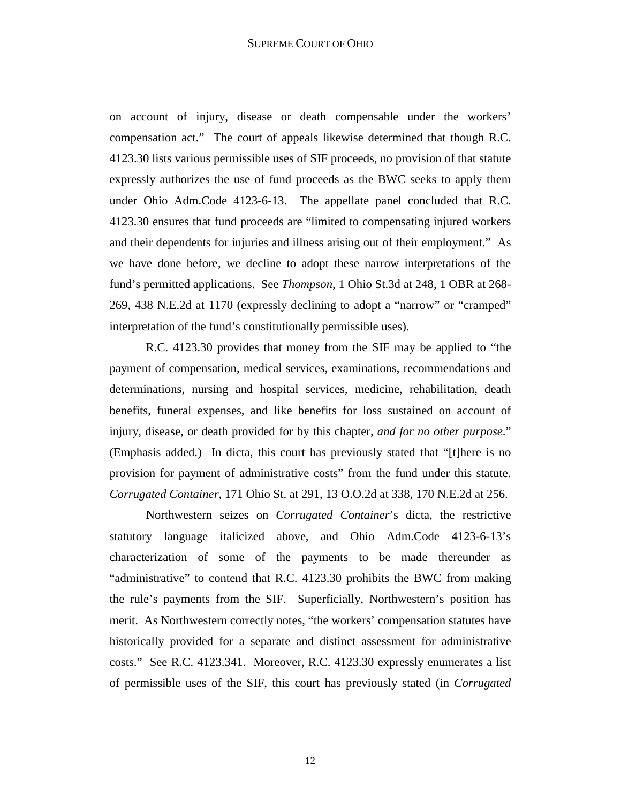on account of injury, disease or death compensable under the workers' compensation act." The court of appeals likewise determined that though R.C. 4123.30 lists various permissible uses of SIF proceeds, no provision of that statute expressly authorizes the use of fund proceeds as the BWC seeks to apply them under Ohio Adm.Code 4123-6-13. The appellate panel concluded that R.C. 4123.30 ensures that fund proceeds are "limited to compensating injured workers and their dependents for injuries and illness arising out of their employment." As we have done before, we decline to adopt these narrow interpretations of the fund's permitted applications. See *Thompson*, 1 Ohio St.3d at 248, 1 OBR at 268- 269, 438 N.E.2d at 1170 (expressly declining to adopt a "narrow" or "cramped" interpretation of the fund's constitutionally permissible uses).

 R.C. 4123.30 provides that money from the SIF may be applied to "the payment of compensation, medical services, examinations, recommendations and determinations, nursing and hospital services, medicine, rehabilitation, death benefits, funeral expenses, and like benefits for loss sustained on account of injury, disease, or death provided for by this chapter, *and for no other purpose*." (Emphasis added.) In dicta, this court has previously stated that "[t]here is no provision for payment of administrative costs" from the fund under this statute. *Corrugated Container*, 171 Ohio St. at 291, 13 O.O.2d at 338, 170 N.E.2d at 256.

 Northwestern seizes on *Corrugated Container*'s dicta, the restrictive statutory language italicized above, and Ohio Adm.Code 4123-6-13's characterization of some of the payments to be made thereunder as "administrative" to contend that R.C. 4123.30 prohibits the BWC from making the rule's payments from the SIF. Superficially, Northwestern's position has merit. As Northwestern correctly notes, "the workers' compensation statutes have historically provided for a separate and distinct assessment for administrative costs." See R.C. 4123.341. Moreover, R.C. 4123.30 expressly enumerates a list of permissible uses of the SIF, this court has previously stated (in *Corrugated*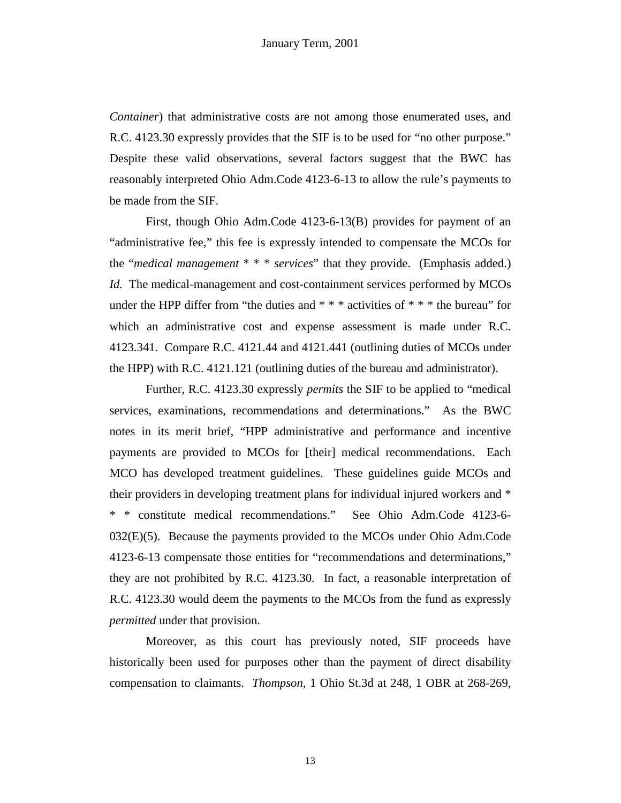*Container*) that administrative costs are not among those enumerated uses, and R.C. 4123.30 expressly provides that the SIF is to be used for "no other purpose." Despite these valid observations, several factors suggest that the BWC has reasonably interpreted Ohio Adm.Code 4123-6-13 to allow the rule's payments to be made from the SIF.

 First, though Ohio Adm.Code 4123-6-13(B) provides for payment of an "administrative fee," this fee is expressly intended to compensate the MCOs for the "*medical management* \* \* \* *services*" that they provide. (Emphasis added.) *Id.* The medical-management and cost-containment services performed by MCOs under the HPP differ from "the duties and  $***$  activities of  $***$  the bureau" for which an administrative cost and expense assessment is made under R.C. 4123.341. Compare R.C. 4121.44 and 4121.441 (outlining duties of MCOs under the HPP) with R.C. 4121.121 (outlining duties of the bureau and administrator).

 Further, R.C. 4123.30 expressly *permits* the SIF to be applied to "medical services, examinations, recommendations and determinations." As the BWC notes in its merit brief, "HPP administrative and performance and incentive payments are provided to MCOs for [their] medical recommendations. Each MCO has developed treatment guidelines. These guidelines guide MCOs and their providers in developing treatment plans for individual injured workers and \* \* \* constitute medical recommendations." See Ohio Adm.Code 4123-6- 032(E)(5). Because the payments provided to the MCOs under Ohio Adm.Code 4123-6-13 compensate those entities for "recommendations and determinations," they are not prohibited by R.C. 4123.30. In fact, a reasonable interpretation of R.C. 4123.30 would deem the payments to the MCOs from the fund as expressly *permitted* under that provision.

 Moreover, as this court has previously noted, SIF proceeds have historically been used for purposes other than the payment of direct disability compensation to claimants. *Thompson*, 1 Ohio St.3d at 248, 1 OBR at 268-269,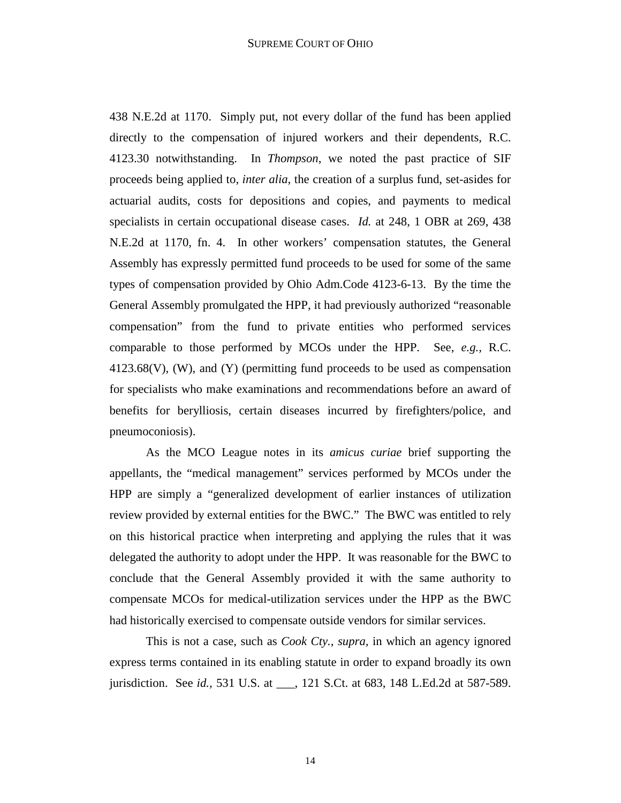438 N.E.2d at 1170. Simply put, not every dollar of the fund has been applied directly to the compensation of injured workers and their dependents, R.C. 4123.30 notwithstanding. In *Thompson*, we noted the past practice of SIF proceeds being applied to, *inter alia*, the creation of a surplus fund, set-asides for actuarial audits, costs for depositions and copies, and payments to medical specialists in certain occupational disease cases. *Id.* at 248, 1 OBR at 269, 438 N.E.2d at 1170, fn. 4. In other workers' compensation statutes, the General Assembly has expressly permitted fund proceeds to be used for some of the same types of compensation provided by Ohio Adm.Code 4123-6-13. By the time the General Assembly promulgated the HPP, it had previously authorized "reasonable compensation" from the fund to private entities who performed services comparable to those performed by MCOs under the HPP. See, *e.g.,* R.C.  $4123.68(V)$ , (W), and (Y) (permitting fund proceeds to be used as compensation for specialists who make examinations and recommendations before an award of benefits for berylliosis, certain diseases incurred by firefighters/police, and pneumoconiosis).

 As the MCO League notes in its *amicus curiae* brief supporting the appellants, the "medical management" services performed by MCOs under the HPP are simply a "generalized development of earlier instances of utilization review provided by external entities for the BWC." The BWC was entitled to rely on this historical practice when interpreting and applying the rules that it was delegated the authority to adopt under the HPP. It was reasonable for the BWC to conclude that the General Assembly provided it with the same authority to compensate MCOs for medical-utilization services under the HPP as the BWC had historically exercised to compensate outside vendors for similar services.

 This is not a case, such as *Cook Cty.*, *supra,* in which an agency ignored express terms contained in its enabling statute in order to expand broadly its own jurisdiction. See *id.*, 531 U.S. at \_\_\_, 121 S.Ct. at 683, 148 L.Ed.2d at 587-589.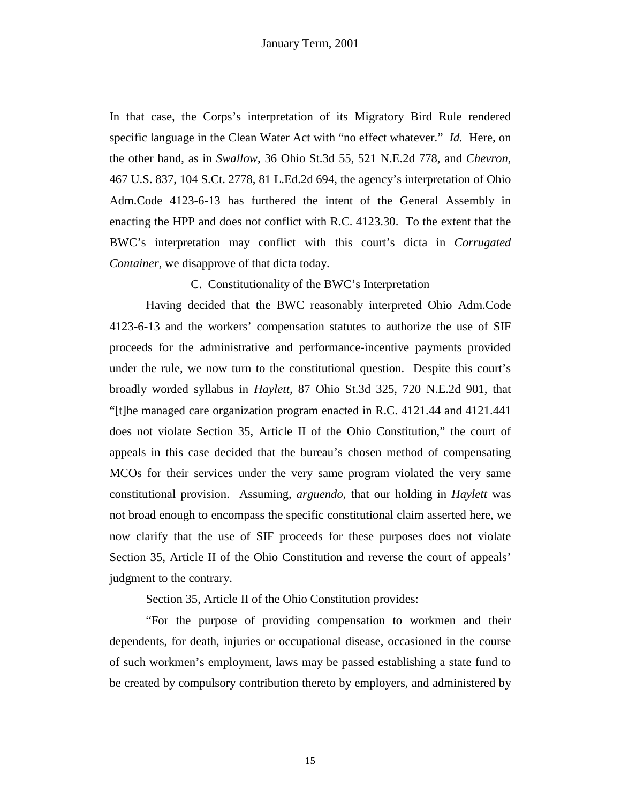In that case, the Corps's interpretation of its Migratory Bird Rule rendered specific language in the Clean Water Act with "no effect whatever." *Id.* Here, on the other hand, as in *Swallow*, 36 Ohio St.3d 55, 521 N.E.2d 778, and *Chevron*, 467 U.S. 837, 104 S.Ct. 2778, 81 L.Ed.2d 694, the agency's interpretation of Ohio Adm.Code 4123-6-13 has furthered the intent of the General Assembly in enacting the HPP and does not conflict with R.C. 4123.30. To the extent that the BWC's interpretation may conflict with this court's dicta in *Corrugated Container*, we disapprove of that dicta today.

C. Constitutionality of the BWC's Interpretation

 Having decided that the BWC reasonably interpreted Ohio Adm.Code 4123-6-13 and the workers' compensation statutes to authorize the use of SIF proceeds for the administrative and performance-incentive payments provided under the rule, we now turn to the constitutional question. Despite this court's broadly worded syllabus in *Haylett,* 87 Ohio St.3d 325, 720 N.E.2d 901, that "[t]he managed care organization program enacted in R.C. 4121.44 and 4121.441 does not violate Section 35, Article II of the Ohio Constitution," the court of appeals in this case decided that the bureau's chosen method of compensating MCOs for their services under the very same program violated the very same constitutional provision. Assuming, *arguendo*, that our holding in *Haylett* was not broad enough to encompass the specific constitutional claim asserted here, we now clarify that the use of SIF proceeds for these purposes does not violate Section 35, Article II of the Ohio Constitution and reverse the court of appeals' judgment to the contrary.

Section 35, Article II of the Ohio Constitution provides:

 "For the purpose of providing compensation to workmen and their dependents, for death, injuries or occupational disease, occasioned in the course of such workmen's employment, laws may be passed establishing a state fund to be created by compulsory contribution thereto by employers, and administered by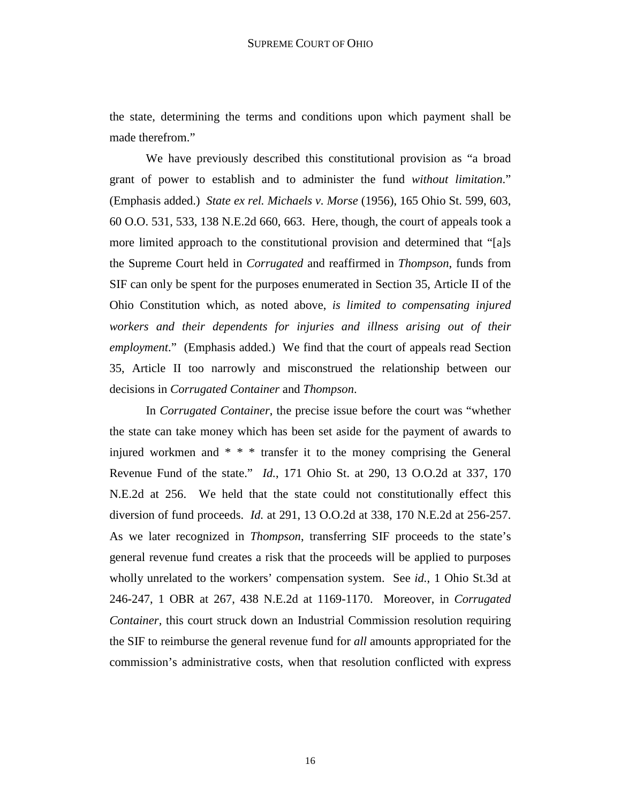the state, determining the terms and conditions upon which payment shall be made therefrom."

 We have previously described this constitutional provision as "a broad grant of power to establish and to administer the fund *without limitation*." (Emphasis added.) *State ex rel. Michaels v. Morse* (1956), 165 Ohio St. 599, 603, 60 O.O. 531, 533, 138 N.E.2d 660, 663. Here, though, the court of appeals took a more limited approach to the constitutional provision and determined that "[a]s the Supreme Court held in *Corrugated* and reaffirmed in *Thompson*, funds from SIF can only be spent for the purposes enumerated in Section 35, Article II of the Ohio Constitution which, as noted above, *is limited to compensating injured workers and their dependents for injuries and illness arising out of their employment*." (Emphasis added.) We find that the court of appeals read Section 35, Article II too narrowly and misconstrued the relationship between our decisions in *Corrugated Container* and *Thompson*.

 In *Corrugated Container*, the precise issue before the court was "whether the state can take money which has been set aside for the payment of awards to injured workmen and \* \* \* transfer it to the money comprising the General Revenue Fund of the state." *Id.*, 171 Ohio St. at 290, 13 O.O.2d at 337, 170 N.E.2d at 256. We held that the state could not constitutionally effect this diversion of fund proceeds. *Id.* at 291, 13 O.O.2d at 338, 170 N.E.2d at 256-257. As we later recognized in *Thompson*, transferring SIF proceeds to the state's general revenue fund creates a risk that the proceeds will be applied to purposes wholly unrelated to the workers' compensation system. See *id.*, 1 Ohio St.3d at 246-247, 1 OBR at 267, 438 N.E.2d at 1169-1170. Moreover, in *Corrugated Container*, this court struck down an Industrial Commission resolution requiring the SIF to reimburse the general revenue fund for *all* amounts appropriated for the commission's administrative costs, when that resolution conflicted with express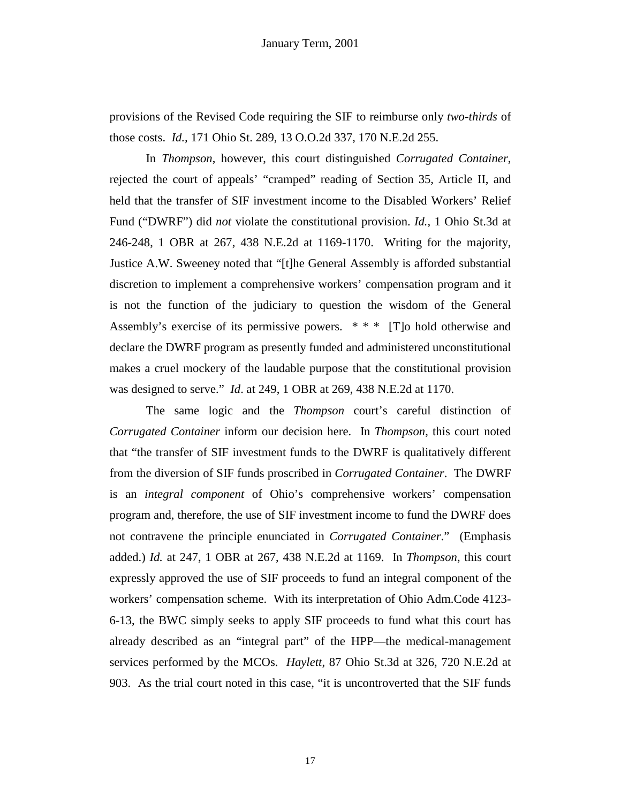provisions of the Revised Code requiring the SIF to reimburse only *two-thirds* of those costs. *Id.,* 171 Ohio St. 289, 13 O.O.2d 337, 170 N.E.2d 255.

 In *Thompson*, however, this court distinguished *Corrugated Container*, rejected the court of appeals' "cramped" reading of Section 35, Article II, and held that the transfer of SIF investment income to the Disabled Workers' Relief Fund ("DWRF") did *not* violate the constitutional provision. *Id.,* 1 Ohio St.3d at 246-248, 1 OBR at 267, 438 N.E.2d at 1169-1170. Writing for the majority, Justice A.W. Sweeney noted that "[t]he General Assembly is afforded substantial discretion to implement a comprehensive workers' compensation program and it is not the function of the judiciary to question the wisdom of the General Assembly's exercise of its permissive powers. \* \* \* [T]o hold otherwise and declare the DWRF program as presently funded and administered unconstitutional makes a cruel mockery of the laudable purpose that the constitutional provision was designed to serve." *Id*. at 249, 1 OBR at 269, 438 N.E.2d at 1170.

 The same logic and the *Thompson* court's careful distinction of *Corrugated Container* inform our decision here. In *Thompson*, this court noted that "the transfer of SIF investment funds to the DWRF is qualitatively different from the diversion of SIF funds proscribed in *Corrugated Container*. The DWRF is an *integral component* of Ohio's comprehensive workers' compensation program and, therefore, the use of SIF investment income to fund the DWRF does not contravene the principle enunciated in *Corrugated Container*." (Emphasis added.) *Id.* at 247, 1 OBR at 267, 438 N.E.2d at 1169. In *Thompson*, this court expressly approved the use of SIF proceeds to fund an integral component of the workers' compensation scheme. With its interpretation of Ohio Adm.Code 4123- 6-13, the BWC simply seeks to apply SIF proceeds to fund what this court has already described as an "integral part" of the HPP—the medical-management services performed by the MCOs. *Haylett*, 87 Ohio St.3d at 326, 720 N.E.2d at 903. As the trial court noted in this case, "it is uncontroverted that the SIF funds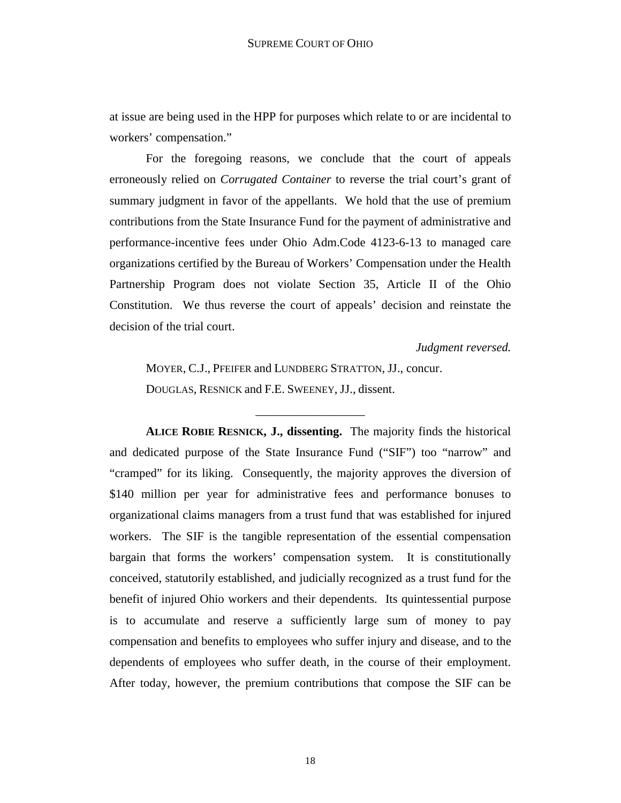at issue are being used in the HPP for purposes which relate to or are incidental to workers' compensation."

 For the foregoing reasons, we conclude that the court of appeals erroneously relied on *Corrugated Container* to reverse the trial court's grant of summary judgment in favor of the appellants. We hold that the use of premium contributions from the State Insurance Fund for the payment of administrative and performance-incentive fees under Ohio Adm.Code 4123-6-13 to managed care organizations certified by the Bureau of Workers' Compensation under the Health Partnership Program does not violate Section 35, Article II of the Ohio Constitution. We thus reverse the court of appeals' decision and reinstate the decision of the trial court.

*Judgment reversed.* 

MOYER, C.J., PFEIFER and LUNDBERG STRATTON, JJ., concur. DOUGLAS, RESNICK and F.E. SWEENEY, JJ., dissent.

\_\_\_\_\_\_\_\_\_\_\_\_\_\_\_\_\_\_

**ALICE ROBIE RESNICK, J., dissenting.** The majority finds the historical and dedicated purpose of the State Insurance Fund ("SIF") too "narrow" and "cramped" for its liking. Consequently, the majority approves the diversion of \$140 million per year for administrative fees and performance bonuses to organizational claims managers from a trust fund that was established for injured workers. The SIF is the tangible representation of the essential compensation bargain that forms the workers' compensation system. It is constitutionally conceived, statutorily established, and judicially recognized as a trust fund for the benefit of injured Ohio workers and their dependents. Its quintessential purpose is to accumulate and reserve a sufficiently large sum of money to pay compensation and benefits to employees who suffer injury and disease, and to the dependents of employees who suffer death, in the course of their employment. After today, however, the premium contributions that compose the SIF can be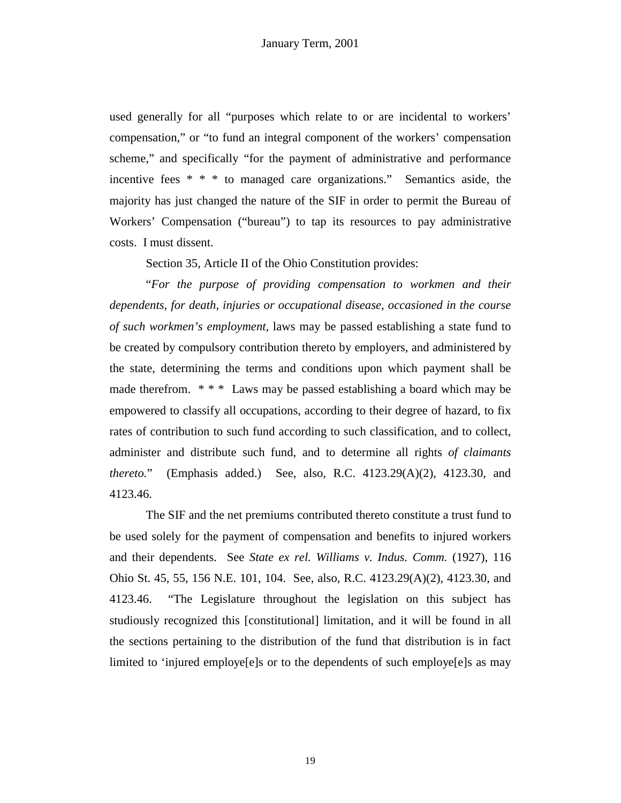used generally for all "purposes which relate to or are incidental to workers' compensation," or "to fund an integral component of the workers' compensation scheme," and specifically "for the payment of administrative and performance incentive fees \* \* \* to managed care organizations." Semantics aside, the majority has just changed the nature of the SIF in order to permit the Bureau of Workers' Compensation ("bureau") to tap its resources to pay administrative costs. I must dissent.

Section 35, Article II of the Ohio Constitution provides:

 "*For the purpose of providing compensation to workmen and their dependents, for death, injuries or occupational disease, occasioned in the course of such workmen's employment,* laws may be passed establishing a state fund to be created by compulsory contribution thereto by employers, and administered by the state, determining the terms and conditions upon which payment shall be made therefrom. \*\*\* Laws may be passed establishing a board which may be empowered to classify all occupations, according to their degree of hazard, to fix rates of contribution to such fund according to such classification, and to collect, administer and distribute such fund, and to determine all rights *of claimants thereto.*" (Emphasis added.) See, also, R.C. 4123.29(A)(2), 4123.30, and 4123.46.

 The SIF and the net premiums contributed thereto constitute a trust fund to be used solely for the payment of compensation and benefits to injured workers and their dependents. See *State ex rel. Williams v. Indus. Comm.* (1927), 116 Ohio St. 45, 55, 156 N.E. 101, 104. See, also, R.C. 4123.29(A)(2), 4123.30, and 4123.46. "The Legislature throughout the legislation on this subject has studiously recognized this [constitutional] limitation, and it will be found in all the sections pertaining to the distribution of the fund that distribution is in fact limited to 'injured employe[e]s or to the dependents of such employe[e]s as may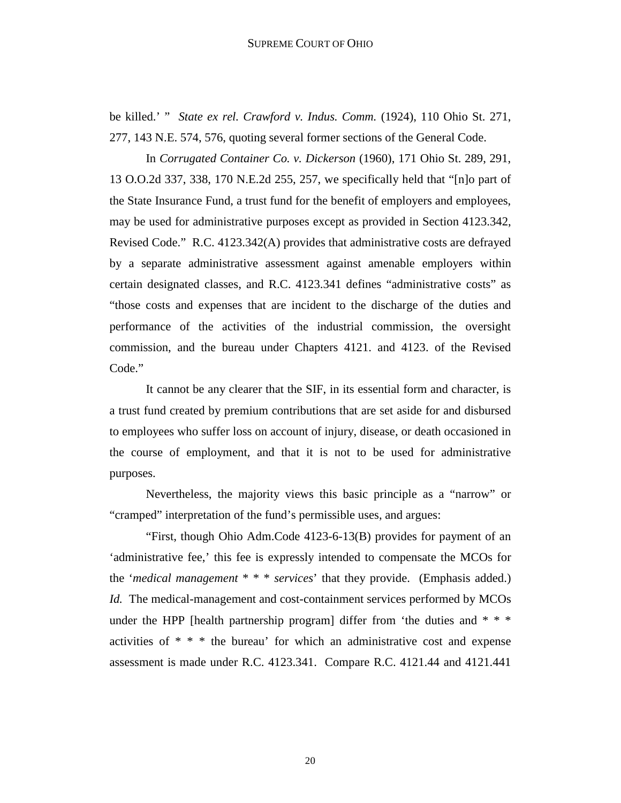be killed.' " *State ex rel. Crawford v. Indus. Comm.* (1924), 110 Ohio St. 271, 277, 143 N.E. 574, 576, quoting several former sections of the General Code.

 In *Corrugated Container Co. v. Dickerson* (1960), 171 Ohio St. 289, 291, 13 O.O.2d 337, 338, 170 N.E.2d 255, 257, we specifically held that "[n]o part of the State Insurance Fund, a trust fund for the benefit of employers and employees, may be used for administrative purposes except as provided in Section 4123.342, Revised Code." R.C. 4123.342(A) provides that administrative costs are defrayed by a separate administrative assessment against amenable employers within certain designated classes, and R.C. 4123.341 defines "administrative costs" as "those costs and expenses that are incident to the discharge of the duties and performance of the activities of the industrial commission, the oversight commission, and the bureau under Chapters 4121. and 4123. of the Revised Code."

 It cannot be any clearer that the SIF, in its essential form and character, is a trust fund created by premium contributions that are set aside for and disbursed to employees who suffer loss on account of injury, disease, or death occasioned in the course of employment, and that it is not to be used for administrative purposes.

 Nevertheless, the majority views this basic principle as a "narrow" or "cramped" interpretation of the fund's permissible uses, and argues:

 "First, though Ohio Adm.Code 4123-6-13(B) provides for payment of an 'administrative fee,' this fee is expressly intended to compensate the MCOs for the '*medical management* \* \* \* *services*' that they provide. (Emphasis added.) *Id.* The medical-management and cost-containment services performed by MCOs under the HPP [health partnership program] differ from 'the duties and  $* * *$ activities of \* \* \* the bureau' for which an administrative cost and expense assessment is made under R.C. 4123.341. Compare R.C. 4121.44 and 4121.441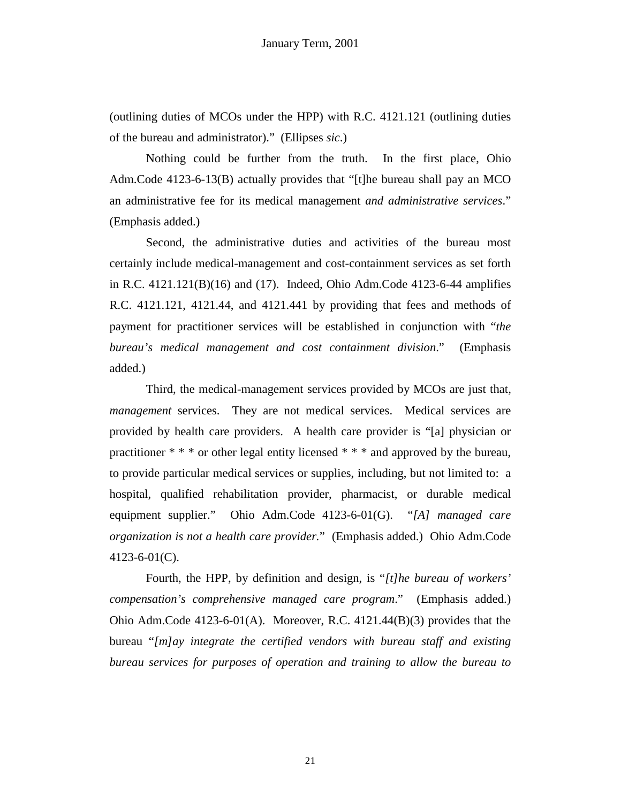(outlining duties of MCOs under the HPP) with R.C. 4121.121 (outlining duties of the bureau and administrator)." (Ellipses *sic*.)

 Nothing could be further from the truth. In the first place, Ohio Adm.Code 4123-6-13(B) actually provides that "[t]he bureau shall pay an MCO an administrative fee for its medical management *and administrative services*." (Emphasis added.)

 Second, the administrative duties and activities of the bureau most certainly include medical-management and cost-containment services as set forth in R.C. 4121.121(B)(16) and (17). Indeed, Ohio Adm.Code 4123-6-44 amplifies R.C. 4121.121, 4121.44, and 4121.441 by providing that fees and methods of payment for practitioner services will be established in conjunction with "*the bureau's medical management and cost containment division*." (Emphasis added.)

 Third, the medical-management services provided by MCOs are just that, *management* services. They are not medical services. Medical services are provided by health care providers. A health care provider is "[a] physician or practitioner \* \* \* or other legal entity licensed \* \* \* and approved by the bureau, to provide particular medical services or supplies, including, but not limited to: a hospital, qualified rehabilitation provider, pharmacist, or durable medical equipment supplier." Ohio Adm.Code 4123-6-01(G). "*[A] managed care organization is not a health care provider.*" (Emphasis added.) Ohio Adm.Code 4123-6-01(C).

 Fourth, the HPP, by definition and design, is "*[t]he bureau of workers' compensation's comprehensive managed care program*." (Emphasis added.) Ohio Adm.Code 4123-6-01(A). Moreover, R.C. 4121.44(B)(3) provides that the bureau "*[m]ay integrate the certified vendors with bureau staff and existing bureau services for purposes of operation and training to allow the bureau to*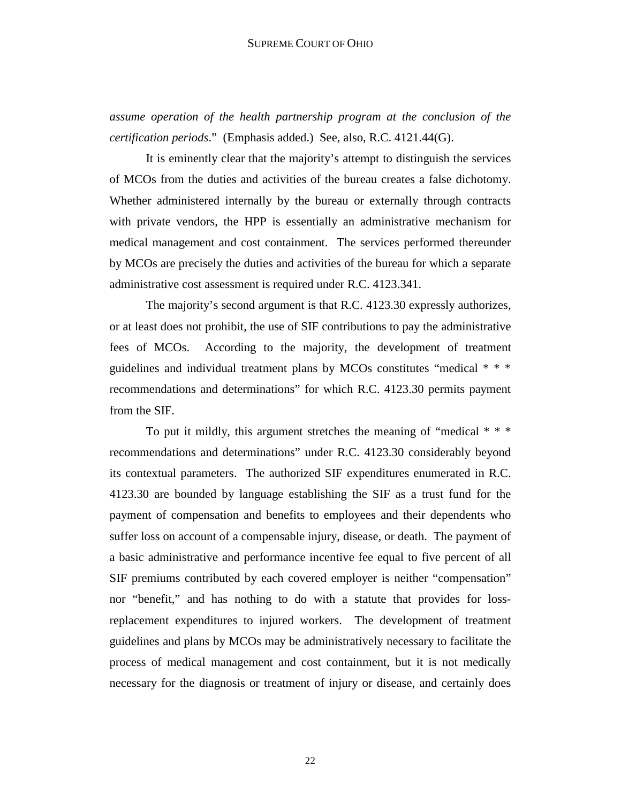*assume operation of the health partnership program at the conclusion of the certification periods*." (Emphasis added.) See, also, R.C. 4121.44(G).

 It is eminently clear that the majority's attempt to distinguish the services of MCOs from the duties and activities of the bureau creates a false dichotomy. Whether administered internally by the bureau or externally through contracts with private vendors, the HPP is essentially an administrative mechanism for medical management and cost containment. The services performed thereunder by MCOs are precisely the duties and activities of the bureau for which a separate administrative cost assessment is required under R.C. 4123.341.

 The majority's second argument is that R.C. 4123.30 expressly authorizes, or at least does not prohibit, the use of SIF contributions to pay the administrative fees of MCOs. According to the majority, the development of treatment guidelines and individual treatment plans by MCOs constitutes "medical \* \* \* recommendations and determinations" for which R.C. 4123.30 permits payment from the SIF.

 To put it mildly, this argument stretches the meaning of "medical \* \* \* recommendations and determinations" under R.C. 4123.30 considerably beyond its contextual parameters. The authorized SIF expenditures enumerated in R.C. 4123.30 are bounded by language establishing the SIF as a trust fund for the payment of compensation and benefits to employees and their dependents who suffer loss on account of a compensable injury, disease, or death. The payment of a basic administrative and performance incentive fee equal to five percent of all SIF premiums contributed by each covered employer is neither "compensation" nor "benefit," and has nothing to do with a statute that provides for lossreplacement expenditures to injured workers. The development of treatment guidelines and plans by MCOs may be administratively necessary to facilitate the process of medical management and cost containment, but it is not medically necessary for the diagnosis or treatment of injury or disease, and certainly does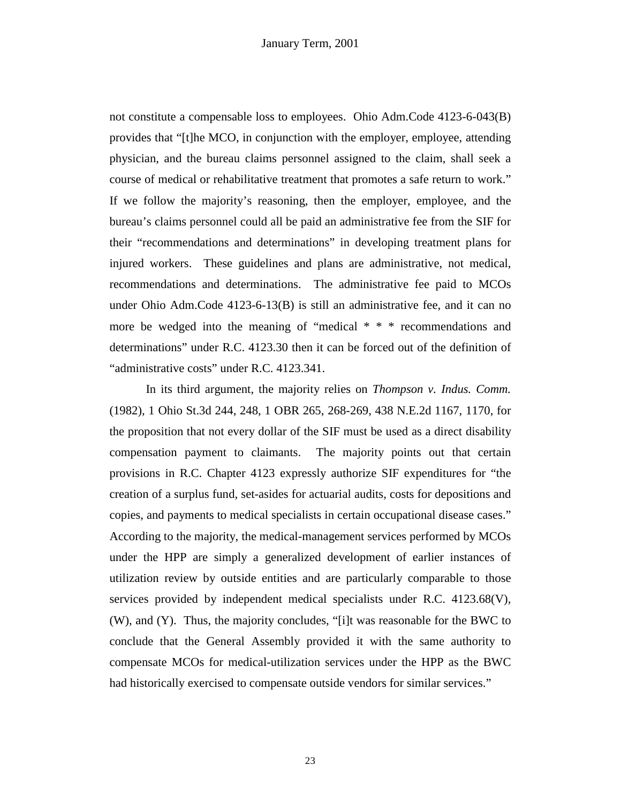not constitute a compensable loss to employees. Ohio Adm.Code 4123-6-043(B) provides that "[t]he MCO, in conjunction with the employer, employee, attending physician, and the bureau claims personnel assigned to the claim, shall seek a course of medical or rehabilitative treatment that promotes a safe return to work." If we follow the majority's reasoning, then the employer, employee, and the bureau's claims personnel could all be paid an administrative fee from the SIF for their "recommendations and determinations" in developing treatment plans for injured workers. These guidelines and plans are administrative, not medical, recommendations and determinations. The administrative fee paid to MCOs under Ohio Adm.Code 4123-6-13(B) is still an administrative fee, and it can no more be wedged into the meaning of "medical \* \* \* recommendations and determinations" under R.C. 4123.30 then it can be forced out of the definition of "administrative costs" under R.C. 4123.341.

 In its third argument, the majority relies on *Thompson v. Indus. Comm.* (1982), 1 Ohio St.3d 244, 248, 1 OBR 265, 268-269, 438 N.E.2d 1167, 1170, for the proposition that not every dollar of the SIF must be used as a direct disability compensation payment to claimants. The majority points out that certain provisions in R.C. Chapter 4123 expressly authorize SIF expenditures for "the creation of a surplus fund, set-asides for actuarial audits, costs for depositions and copies, and payments to medical specialists in certain occupational disease cases." According to the majority, the medical-management services performed by MCOs under the HPP are simply a generalized development of earlier instances of utilization review by outside entities and are particularly comparable to those services provided by independent medical specialists under R.C. 4123.68(V), (W), and (Y). Thus, the majority concludes, "[i]t was reasonable for the BWC to conclude that the General Assembly provided it with the same authority to compensate MCOs for medical-utilization services under the HPP as the BWC had historically exercised to compensate outside vendors for similar services."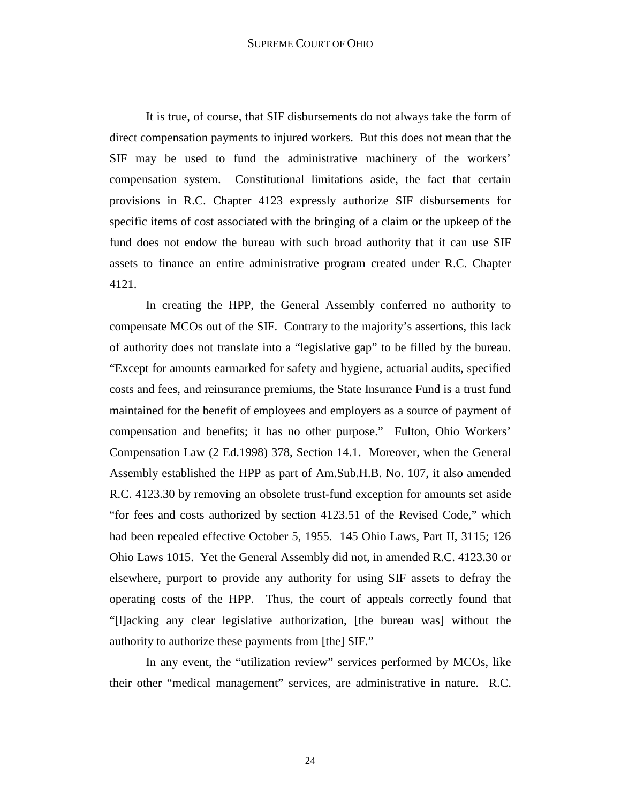It is true, of course, that SIF disbursements do not always take the form of direct compensation payments to injured workers. But this does not mean that the SIF may be used to fund the administrative machinery of the workers' compensation system. Constitutional limitations aside, the fact that certain provisions in R.C. Chapter 4123 expressly authorize SIF disbursements for specific items of cost associated with the bringing of a claim or the upkeep of the fund does not endow the bureau with such broad authority that it can use SIF assets to finance an entire administrative program created under R.C. Chapter 4121.

 In creating the HPP, the General Assembly conferred no authority to compensate MCOs out of the SIF. Contrary to the majority's assertions, this lack of authority does not translate into a "legislative gap" to be filled by the bureau. "Except for amounts earmarked for safety and hygiene, actuarial audits, specified costs and fees, and reinsurance premiums, the State Insurance Fund is a trust fund maintained for the benefit of employees and employers as a source of payment of compensation and benefits; it has no other purpose." Fulton, Ohio Workers' Compensation Law (2 Ed.1998) 378, Section 14.1. Moreover, when the General Assembly established the HPP as part of Am.Sub.H.B. No. 107, it also amended R.C. 4123.30 by removing an obsolete trust-fund exception for amounts set aside "for fees and costs authorized by section 4123.51 of the Revised Code," which had been repealed effective October 5, 1955. 145 Ohio Laws, Part II, 3115; 126 Ohio Laws 1015. Yet the General Assembly did not, in amended R.C. 4123.30 or elsewhere, purport to provide any authority for using SIF assets to defray the operating costs of the HPP. Thus, the court of appeals correctly found that "[l]acking any clear legislative authorization, [the bureau was] without the authority to authorize these payments from [the] SIF."

 In any event, the "utilization review" services performed by MCOs, like their other "medical management" services, are administrative in nature. R.C.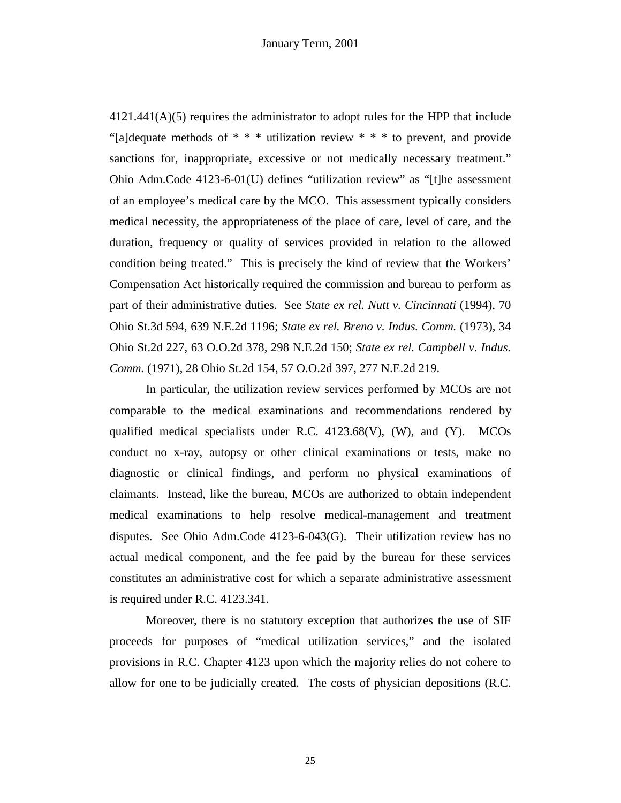4121.441(A)(5) requires the administrator to adopt rules for the HPP that include "[a]dequate methods of  $* * *$  utilization review  $* * *$  to prevent, and provide sanctions for, inappropriate, excessive or not medically necessary treatment." Ohio Adm.Code 4123-6-01(U) defines "utilization review" as "[t]he assessment of an employee's medical care by the MCO. This assessment typically considers medical necessity, the appropriateness of the place of care, level of care, and the duration, frequency or quality of services provided in relation to the allowed condition being treated." This is precisely the kind of review that the Workers' Compensation Act historically required the commission and bureau to perform as part of their administrative duties. See *State ex rel. Nutt v. Cincinnati* (1994), 70 Ohio St.3d 594, 639 N.E.2d 1196; *State ex rel. Breno v. Indus. Comm.* (1973), 34 Ohio St.2d 227, 63 O.O.2d 378, 298 N.E.2d 150; *State ex rel. Campbell v. Indus. Comm.* (1971), 28 Ohio St.2d 154, 57 O.O.2d 397, 277 N.E.2d 219.

 In particular, the utilization review services performed by MCOs are not comparable to the medical examinations and recommendations rendered by qualified medical specialists under R.C. 4123.68(V), (W), and (Y). MCOs conduct no x-ray, autopsy or other clinical examinations or tests, make no diagnostic or clinical findings, and perform no physical examinations of claimants. Instead, like the bureau, MCOs are authorized to obtain independent medical examinations to help resolve medical-management and treatment disputes. See Ohio Adm.Code 4123-6-043(G). Their utilization review has no actual medical component, and the fee paid by the bureau for these services constitutes an administrative cost for which a separate administrative assessment is required under R.C. 4123.341.

 Moreover, there is no statutory exception that authorizes the use of SIF proceeds for purposes of "medical utilization services," and the isolated provisions in R.C. Chapter 4123 upon which the majority relies do not cohere to allow for one to be judicially created. The costs of physician depositions (R.C.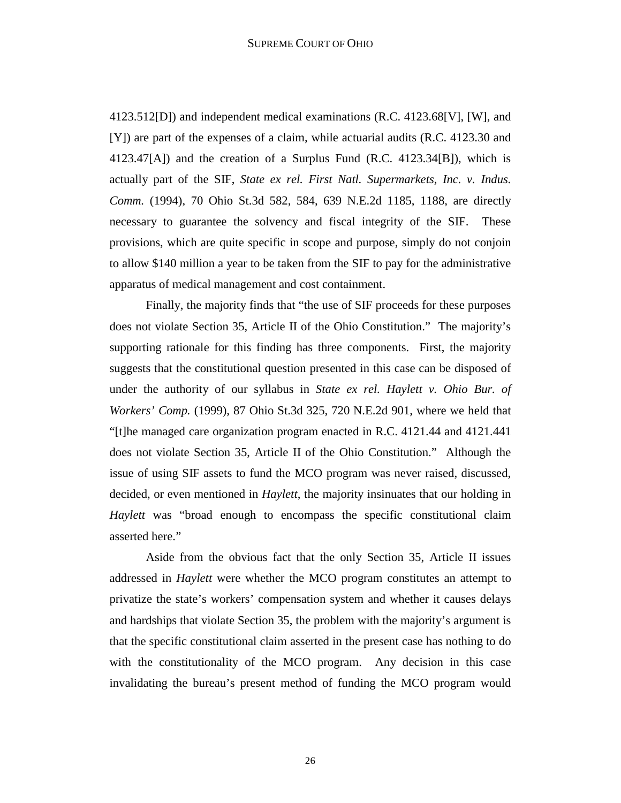4123.512[D]) and independent medical examinations (R.C. 4123.68[V], [W], and [Y]) are part of the expenses of a claim, while actuarial audits (R.C. 4123.30 and  $4123.47[A]$ ) and the creation of a Surplus Fund (R.C.  $4123.34[B]$ ), which is actually part of the SIF, *State ex rel. First Natl. Supermarkets, Inc. v. Indus. Comm.* (1994), 70 Ohio St.3d 582, 584, 639 N.E.2d 1185, 1188, are directly necessary to guarantee the solvency and fiscal integrity of the SIF. These provisions, which are quite specific in scope and purpose, simply do not conjoin to allow \$140 million a year to be taken from the SIF to pay for the administrative apparatus of medical management and cost containment.

 Finally, the majority finds that "the use of SIF proceeds for these purposes does not violate Section 35, Article II of the Ohio Constitution." The majority's supporting rationale for this finding has three components. First, the majority suggests that the constitutional question presented in this case can be disposed of under the authority of our syllabus in *State ex rel. Haylett v. Ohio Bur. of Workers' Comp.* (1999), 87 Ohio St.3d 325, 720 N.E.2d 901, where we held that "[t]he managed care organization program enacted in R.C. 4121.44 and 4121.441 does not violate Section 35, Article II of the Ohio Constitution." Although the issue of using SIF assets to fund the MCO program was never raised, discussed, decided, or even mentioned in *Haylett*, the majority insinuates that our holding in *Haylett* was "broad enough to encompass the specific constitutional claim asserted here."

 Aside from the obvious fact that the only Section 35, Article II issues addressed in *Haylett* were whether the MCO program constitutes an attempt to privatize the state's workers' compensation system and whether it causes delays and hardships that violate Section 35, the problem with the majority's argument is that the specific constitutional claim asserted in the present case has nothing to do with the constitutionality of the MCO program. Any decision in this case invalidating the bureau's present method of funding the MCO program would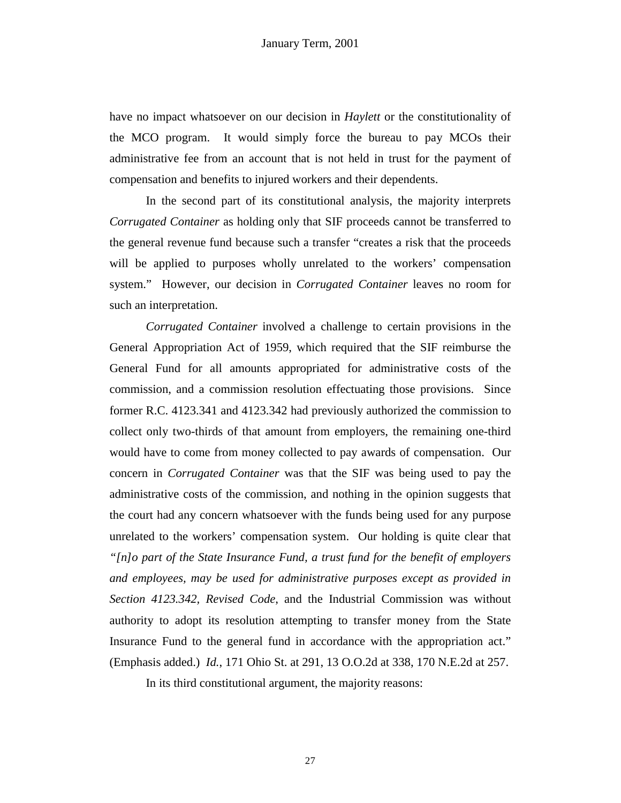have no impact whatsoever on our decision in *Haylett* or the constitutionality of the MCO program. It would simply force the bureau to pay MCOs their administrative fee from an account that is not held in trust for the payment of compensation and benefits to injured workers and their dependents.

 In the second part of its constitutional analysis, the majority interprets *Corrugated Container* as holding only that SIF proceeds cannot be transferred to the general revenue fund because such a transfer "creates a risk that the proceeds will be applied to purposes wholly unrelated to the workers' compensation system." However, our decision in *Corrugated Container* leaves no room for such an interpretation.

*Corrugated Container* involved a challenge to certain provisions in the General Appropriation Act of 1959, which required that the SIF reimburse the General Fund for all amounts appropriated for administrative costs of the commission, and a commission resolution effectuating those provisions. Since former R.C. 4123.341 and 4123.342 had previously authorized the commission to collect only two-thirds of that amount from employers, the remaining one-third would have to come from money collected to pay awards of compensation. Our concern in *Corrugated Container* was that the SIF was being used to pay the administrative costs of the commission, and nothing in the opinion suggests that the court had any concern whatsoever with the funds being used for any purpose unrelated to the workers' compensation system. Our holding is quite clear that *"[n]o part of the State Insurance Fund, a trust fund for the benefit of employers and employees, may be used for administrative purposes except as provided in Section 4123.342, Revised Code*, and the Industrial Commission was without authority to adopt its resolution attempting to transfer money from the State Insurance Fund to the general fund in accordance with the appropriation act." (Emphasis added.) *Id.*, 171 Ohio St. at 291, 13 O.O.2d at 338, 170 N.E.2d at 257.

In its third constitutional argument, the majority reasons: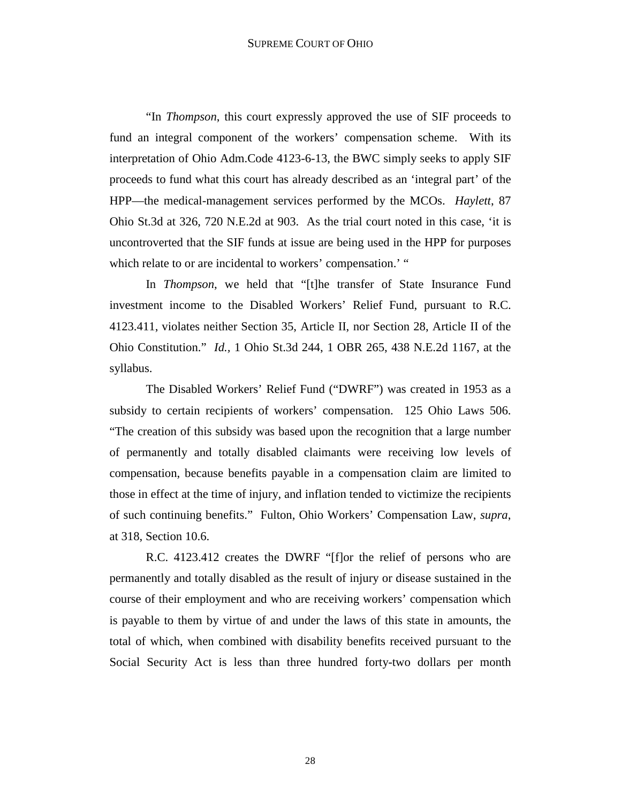## SUPREME COURT OF OHIO

 "In *Thompson*, this court expressly approved the use of SIF proceeds to fund an integral component of the workers' compensation scheme. With its interpretation of Ohio Adm.Code 4123-6-13, the BWC simply seeks to apply SIF proceeds to fund what this court has already described as an 'integral part' of the HPP—the medical-management services performed by the MCOs. *Haylett*, 87 Ohio St.3d at 326, 720 N.E.2d at 903. As the trial court noted in this case, 'it is uncontroverted that the SIF funds at issue are being used in the HPP for purposes which relate to or are incidental to workers' compensation.' "

 In *Thompson*, we held that "[t]he transfer of State Insurance Fund investment income to the Disabled Workers' Relief Fund, pursuant to R.C. 4123.411, violates neither Section 35, Article II, nor Section 28, Article II of the Ohio Constitution." *Id.,* 1 Ohio St.3d 244, 1 OBR 265, 438 N.E.2d 1167, at the syllabus.

 The Disabled Workers' Relief Fund ("DWRF") was created in 1953 as a subsidy to certain recipients of workers' compensation. 125 Ohio Laws 506. "The creation of this subsidy was based upon the recognition that a large number of permanently and totally disabled claimants were receiving low levels of compensation, because benefits payable in a compensation claim are limited to those in effect at the time of injury, and inflation tended to victimize the recipients of such continuing benefits." Fulton, Ohio Workers' Compensation Law, *supra*, at 318, Section 10.6.

 R.C. 4123.412 creates the DWRF "[f]or the relief of persons who are permanently and totally disabled as the result of injury or disease sustained in the course of their employment and who are receiving workers' compensation which is payable to them by virtue of and under the laws of this state in amounts, the total of which, when combined with disability benefits received pursuant to the Social Security Act is less than three hundred forty-two dollars per month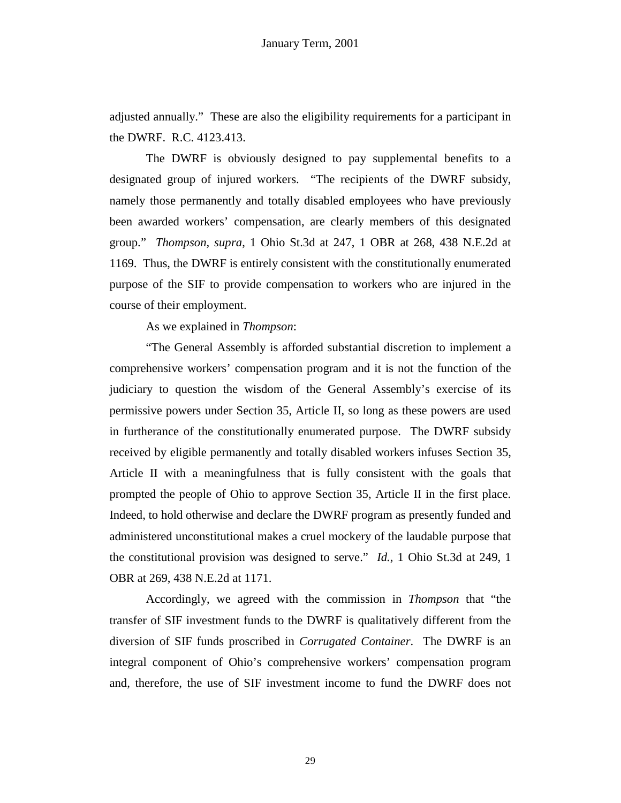adjusted annually." These are also the eligibility requirements for a participant in the DWRF. R.C. 4123.413.

 The DWRF is obviously designed to pay supplemental benefits to a designated group of injured workers. "The recipients of the DWRF subsidy, namely those permanently and totally disabled employees who have previously been awarded workers' compensation, are clearly members of this designated group." *Thompson, supra*, 1 Ohio St.3d at 247, 1 OBR at 268, 438 N.E.2d at 1169. Thus, the DWRF is entirely consistent with the constitutionally enumerated purpose of the SIF to provide compensation to workers who are injured in the course of their employment.

As we explained in *Thompson*:

 "The General Assembly is afforded substantial discretion to implement a comprehensive workers' compensation program and it is not the function of the judiciary to question the wisdom of the General Assembly's exercise of its permissive powers under Section 35, Article II, so long as these powers are used in furtherance of the constitutionally enumerated purpose. The DWRF subsidy received by eligible permanently and totally disabled workers infuses Section 35, Article II with a meaningfulness that is fully consistent with the goals that prompted the people of Ohio to approve Section 35, Article II in the first place. Indeed, to hold otherwise and declare the DWRF program as presently funded and administered unconstitutional makes a cruel mockery of the laudable purpose that the constitutional provision was designed to serve." *Id.*, 1 Ohio St.3d at 249, 1 OBR at 269, 438 N.E.2d at 1171.

 Accordingly, we agreed with the commission in *Thompson* that "the transfer of SIF investment funds to the DWRF is qualitatively different from the diversion of SIF funds proscribed in *Corrugated Container*. The DWRF is an integral component of Ohio's comprehensive workers' compensation program and, therefore, the use of SIF investment income to fund the DWRF does not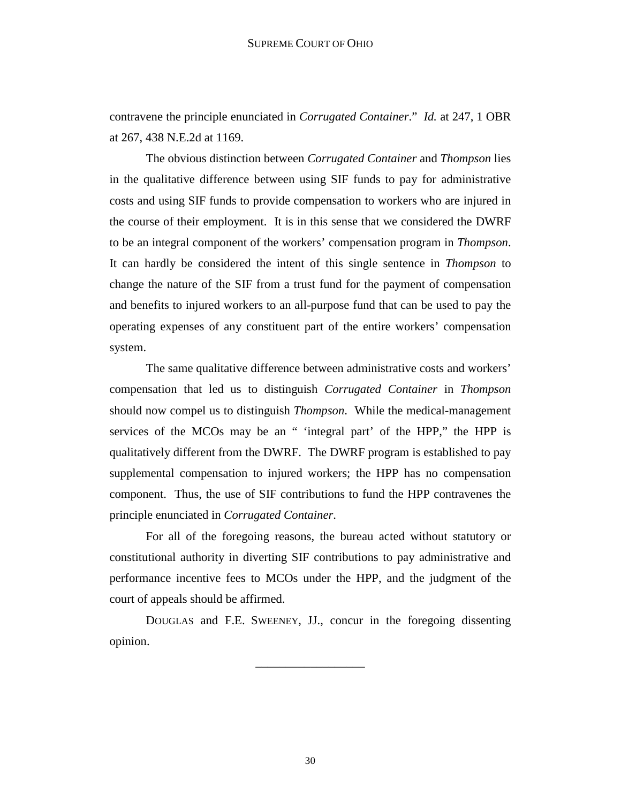contravene the principle enunciated in *Corrugated Container*." *Id.* at 247, 1 OBR at 267, 438 N.E.2d at 1169.

 The obvious distinction between *Corrugated Container* and *Thompson* lies in the qualitative difference between using SIF funds to pay for administrative costs and using SIF funds to provide compensation to workers who are injured in the course of their employment. It is in this sense that we considered the DWRF to be an integral component of the workers' compensation program in *Thompson*. It can hardly be considered the intent of this single sentence in *Thompson* to change the nature of the SIF from a trust fund for the payment of compensation and benefits to injured workers to an all-purpose fund that can be used to pay the operating expenses of any constituent part of the entire workers' compensation system.

 The same qualitative difference between administrative costs and workers' compensation that led us to distinguish *Corrugated Container* in *Thompson* should now compel us to distinguish *Thompson*. While the medical-management services of the MCOs may be an " 'integral part' of the HPP," the HPP is qualitatively different from the DWRF. The DWRF program is established to pay supplemental compensation to injured workers; the HPP has no compensation component. Thus, the use of SIF contributions to fund the HPP contravenes the principle enunciated in *Corrugated Container*.

 For all of the foregoing reasons, the bureau acted without statutory or constitutional authority in diverting SIF contributions to pay administrative and performance incentive fees to MCOs under the HPP, and the judgment of the court of appeals should be affirmed.

 DOUGLAS and F.E. SWEENEY, JJ., concur in the foregoing dissenting opinion.

\_\_\_\_\_\_\_\_\_\_\_\_\_\_\_\_\_\_